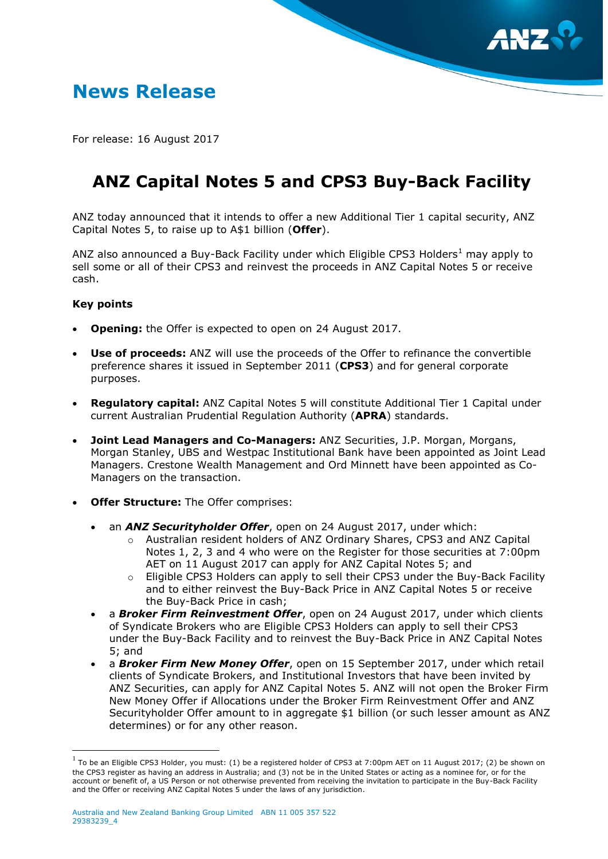

## **News Release**

For release: 16 August 2017

# **ANZ Capital Notes 5 and CPS3 Buy-Back Facility**

ANZ today announced that it intends to offer a new Additional Tier 1 capital security, ANZ Capital Notes 5, to raise up to A\$1 billion (**Offer**).

ANZ also announced a Buy-Back Facility under which Eligible CPS3 Holders<sup>1</sup> may apply to sell some or all of their CPS3 and reinvest the proceeds in ANZ Capital Notes 5 or receive cash.

## **Key points**

 $\overline{a}$ 

- **Opening:** the Offer is expected to open on 24 August 2017.
- **Use of proceeds:** ANZ will use the proceeds of the Offer to refinance the convertible preference shares it issued in September 2011 (**CPS3**) and for general corporate purposes.
- **Regulatory capital:** ANZ Capital Notes 5 will constitute Additional Tier 1 Capital under current Australian Prudential Regulation Authority (**APRA**) standards.
- **Joint Lead Managers and Co-Managers:** ANZ Securities, J.P. Morgan, Morgans, Morgan Stanley, UBS and Westpac Institutional Bank have been appointed as Joint Lead Managers. Crestone Wealth Management and Ord Minnett have been appointed as Co-Managers on the transaction.
- **Offer Structure:** The Offer comprises:
	- an *ANZ Securityholder Offer*, open on 24 August 2017, under which:
		- o Australian resident holders of ANZ Ordinary Shares, CPS3 and ANZ Capital Notes 1, 2, 3 and 4 who were on the Register for those securities at 7:00pm AET on 11 August 2017 can apply for ANZ Capital Notes 5; and
		- o Eligible CPS3 Holders can apply to sell their CPS3 under the Buy-Back Facility and to either reinvest the Buy-Back Price in ANZ Capital Notes 5 or receive the Buy-Back Price in cash;
	- a **Broker Firm Reinvestment Offer**, open on 24 August 2017, under which clients of Syndicate Brokers who are Eligible CPS3 Holders can apply to sell their CPS3 under the Buy-Back Facility and to reinvest the Buy-Back Price in ANZ Capital Notes 5; and
	- a *Broker Firm New Money Offer*, open on 15 September 2017, under which retail clients of Syndicate Brokers, and Institutional Investors that have been invited by ANZ Securities, can apply for ANZ Capital Notes 5. ANZ will not open the Broker Firm New Money Offer if Allocations under the Broker Firm Reinvestment Offer and ANZ Securityholder Offer amount to in aggregate \$1 billion (or such lesser amount as ANZ determines) or for any other reason.

 $^{\rm 1}$  To be an Eligible CPS3 Holder, you must: (1) be a registered holder of CPS3 at 7:00pm AET on 11 August 2017; (2) be shown on the CPS3 register as having an address in Australia; and (3) not be in the United States or acting as a nominee for, or for the account or benefit of, a US Person or not otherwise prevented from receiving the invitation to participate in the Buy-Back Facility and the Offer or receiving ANZ Capital Notes 5 under the laws of any jurisdiction.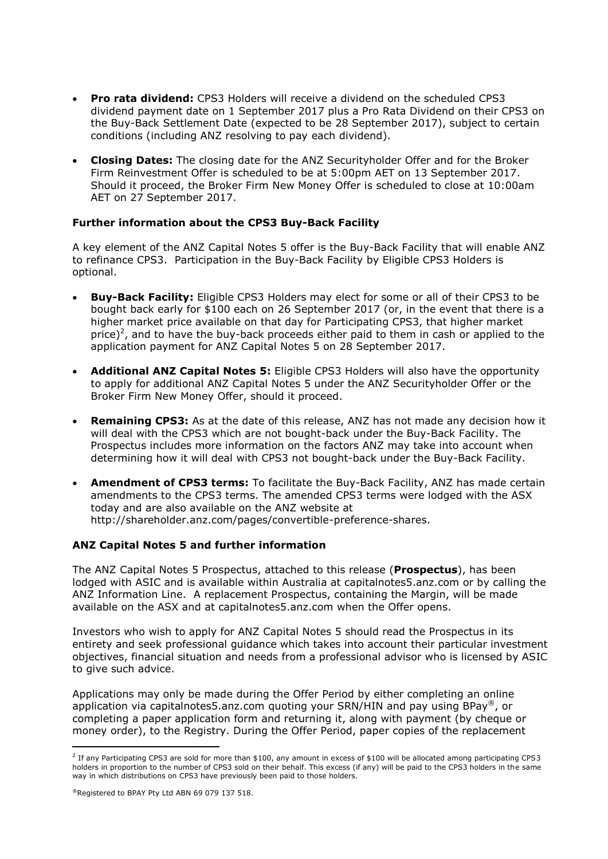- **Pro rata dividend:** CPS3 Holders will receive a dividend on the scheduled CPS3 dividend payment date on 1 September 2017 plus a Pro Rata Dividend on their CPS3 on the Buy-Back Settlement Date (expected to be 28 September 2017), subject to certain conditions (including ANZ resolving to pay each dividend).
- **Closing Dates:** The closing date for the ANZ Securityholder Offer and for the Broker Firm Reinvestment Offer is scheduled to be at 5:00pm AET on 13 September 2017. Should it proceed, the Broker Firm New Money Offer is scheduled to close at 10:00am AET on 27 September 2017.

## **Further information about the CPS3 Buy-Back Facility**

A key element of the ANZ Capital Notes 5 offer is the Buy-Back Facility that will enable ANZ to refinance CPS3. Participation in the Buy-Back Facility by Eligible CPS3 Holders is optional.

- **Buy-Back Facility:** Eligible CPS3 Holders may elect for some or all of their CPS3 to be bought back early for \$100 each on 26 September 2017 (or, in the event that there is a higher market price available on that day for Participating CPS3, that higher market price)<sup>2</sup>, and to have the buy-back proceeds either paid to them in cash or applied to the application payment for ANZ Capital Notes 5 on 28 September 2017.
- **Additional ANZ Capital Notes 5:** Eligible CPS3 Holders will also have the opportunity to apply for additional ANZ Capital Notes 5 under the ANZ Securityholder Offer or the Broker Firm New Money Offer, should it proceed.
- **Remaining CPS3:** As at the date of this release, ANZ has not made any decision how it will deal with the CPS3 which are not bought-back under the Buy-Back Facility. The Prospectus includes more information on the factors ANZ may take into account when determining how it will deal with CPS3 not bought-back under the Buy-Back Facility.
- **Amendment of CPS3 terms:** To facilitate the Buy-Back Facility, ANZ has made certain amendments to the CPS3 terms. The amended CPS3 terms were lodged with the ASX today and are also available on the ANZ website at http://shareholder.anz.com/pages/convertible-preference-shares.

#### **ANZ Capital Notes 5 and further information**

The ANZ Capital Notes 5 Prospectus, attached to this release (**Prospectus**), has been lodged with ASIC and is available within Australia at capitalnotes5.anz.com or by calling the ANZ Information Line. A replacement Prospectus, containing the Margin, will be made available on the ASX and at capitalnotes5.anz.com when the Offer opens.

Investors who wish to apply for ANZ Capital Notes 5 should read the Prospectus in its entirety and seek professional guidance which takes into account their particular investment objectives, financial situation and needs from a professional advisor who is licensed by ASIC to give such advice.

Applications may only be made during the Offer Period by either completing an online application via capitalnotes5.anz.com quoting your SRN/HIN and pay using BPay<sup>®</sup>, or completing a paper application form and returning it, along with payment (by cheque or money order), to the Registry. During the Offer Period, paper copies of the replacement

 $\overline{a}$ 

 $^2$  If any Participating CPS3 are sold for more than \$100, any amount in excess of \$100 will be allocated among participating CPS3 holders in proportion to the number of CPS3 sold on their behalf. This excess (if any) will be paid to the CPS3 holders in the same way in which distributions on CPS3 have previously been paid to those holders.

<sup>®</sup>Registered to BPAY Pty Ltd ABN 69 079 137 518.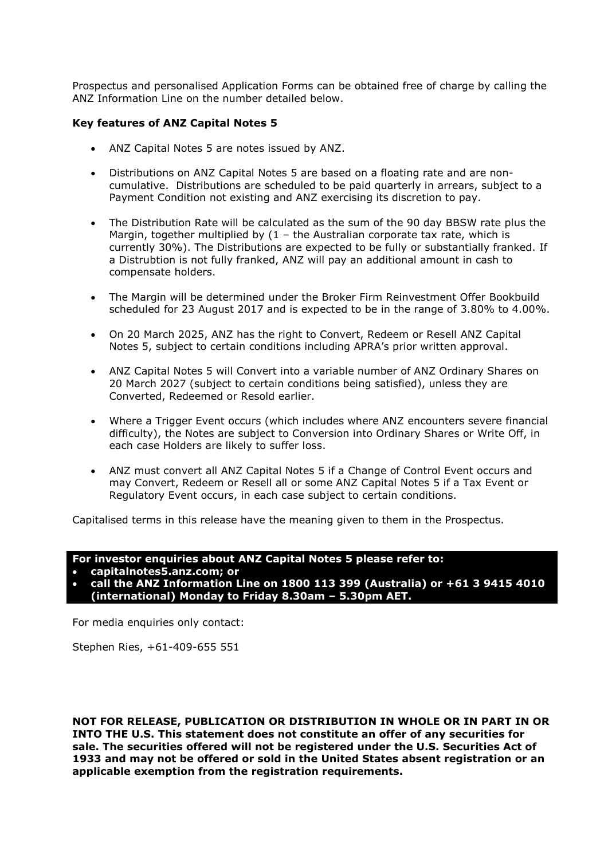Prospectus and personalised Application Forms can be obtained free of charge by calling the ANZ Information Line on the number detailed below.

## **Key features of ANZ Capital Notes 5**

- ANZ Capital Notes 5 are notes issued by ANZ.
- Distributions on ANZ Capital Notes 5 are based on a floating rate and are noncumulative. Distributions are scheduled to be paid quarterly in arrears, subject to a Payment Condition not existing and ANZ exercising its discretion to pay.
- The Distribution Rate will be calculated as the sum of the 90 day BBSW rate plus the Margin, together multiplied by  $(1 -$  the Australian corporate tax rate, which is currently 30%). The Distributions are expected to be fully or substantially franked. If a Distrubtion is not fully franked, ANZ will pay an additional amount in cash to compensate holders.
- The Margin will be determined under the Broker Firm Reinvestment Offer Bookbuild scheduled for 23 August 2017 and is expected to be in the range of 3.80% to 4.00%.
- On 20 March 2025, ANZ has the right to Convert, Redeem or Resell ANZ Capital Notes 5, subject to certain conditions including APRA's prior written approval.
- ANZ Capital Notes 5 will Convert into a variable number of ANZ Ordinary Shares on 20 March 2027 (subject to certain conditions being satisfied), unless they are Converted, Redeemed or Resold earlier.
- Where a Trigger Event occurs (which includes where ANZ encounters severe financial difficulty), the Notes are subject to Conversion into Ordinary Shares or Write Off, in each case Holders are likely to suffer loss.
- ANZ must convert all ANZ Capital Notes 5 if a Change of Control Event occurs and may Convert, Redeem or Resell all or some ANZ Capital Notes 5 if a Tax Event or Regulatory Event occurs, in each case subject to certain conditions.

Capitalised terms in this release have the meaning given to them in the Prospectus.

#### **For investor enquiries about ANZ Capital Notes 5 please refer to:**

- **capitalnotes5.anz.com; or**
- **call the ANZ Information Line on 1800 113 399 (Australia) or +61 3 9415 4010 (international) Monday to Friday 8.30am – 5.30pm AET.**

For media enquiries only contact:

Stephen Ries, +61-409-655 551

**NOT FOR RELEASE, PUBLICATION OR DISTRIBUTION IN WHOLE OR IN PART IN OR INTO THE U.S. This statement does not constitute an offer of any securities for sale. The securities offered will not be registered under the U.S. Securities Act of 1933 and may not be offered or sold in the United States absent registration or an applicable exemption from the registration requirements.**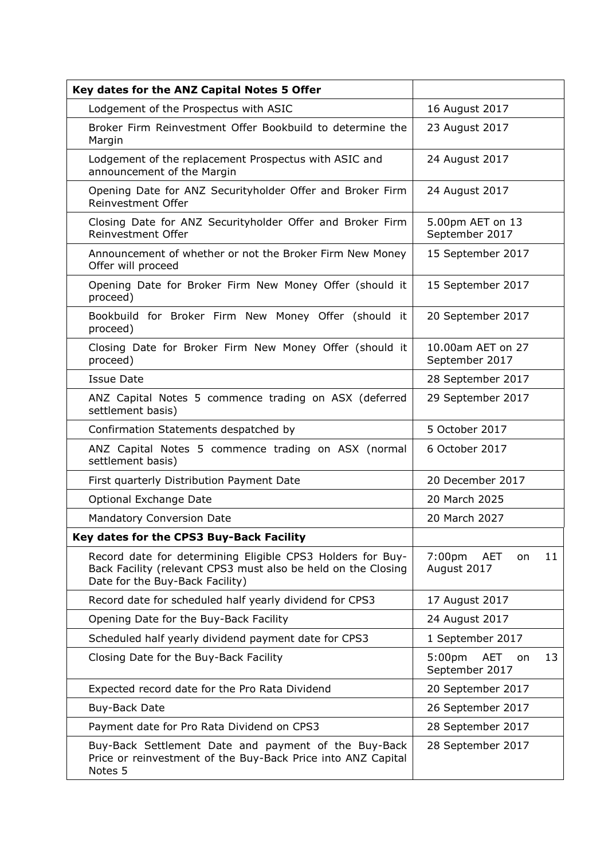| Key dates for the ANZ Capital Notes 5 Offer                                                                                                                    |                                                         |
|----------------------------------------------------------------------------------------------------------------------------------------------------------------|---------------------------------------------------------|
| Lodgement of the Prospectus with ASIC                                                                                                                          | 16 August 2017                                          |
| Broker Firm Reinvestment Offer Bookbuild to determine the<br>Margin                                                                                            | 23 August 2017                                          |
| Lodgement of the replacement Prospectus with ASIC and<br>announcement of the Margin                                                                            | 24 August 2017                                          |
| Opening Date for ANZ Securityholder Offer and Broker Firm<br>Reinvestment Offer                                                                                | 24 August 2017                                          |
| Closing Date for ANZ Securityholder Offer and Broker Firm<br>Reinvestment Offer                                                                                | 5.00pm AET on 13<br>September 2017                      |
| Announcement of whether or not the Broker Firm New Money<br>Offer will proceed                                                                                 | 15 September 2017                                       |
| Opening Date for Broker Firm New Money Offer (should it<br>proceed)                                                                                            | 15 September 2017                                       |
| Bookbuild for Broker Firm New Money Offer (should it<br>proceed)                                                                                               | 20 September 2017                                       |
| Closing Date for Broker Firm New Money Offer (should it<br>proceed)                                                                                            | 10.00am AET on 27<br>September 2017                     |
| <b>Issue Date</b>                                                                                                                                              | 28 September 2017                                       |
| ANZ Capital Notes 5 commence trading on ASX (deferred<br>settlement basis)                                                                                     | 29 September 2017                                       |
| Confirmation Statements despatched by                                                                                                                          | 5 October 2017                                          |
| ANZ Capital Notes 5 commence trading on ASX (normal<br>settlement basis)                                                                                       | 6 October 2017                                          |
| First quarterly Distribution Payment Date                                                                                                                      | 20 December 2017                                        |
| Optional Exchange Date                                                                                                                                         | 20 March 2025                                           |
| Mandatory Conversion Date                                                                                                                                      | 20 March 2027                                           |
| Key dates for the CPS3 Buy-Back Facility                                                                                                                       |                                                         |
| Record date for determining Eligible CPS3 Holders for Buy-<br>Back Facility (relevant CPS3 must also be held on the Closing<br>Date for the Buy-Back Facility) | 7:00 <sub>pm</sub><br>11<br>AET<br>on<br>August 2017    |
| Record date for scheduled half yearly dividend for CPS3                                                                                                        | 17 August 2017                                          |
| Opening Date for the Buy-Back Facility                                                                                                                         | 24 August 2017                                          |
| Scheduled half yearly dividend payment date for CPS3                                                                                                           | 1 September 2017                                        |
| Closing Date for the Buy-Back Facility                                                                                                                         | 5:00 <sub>pm</sub><br>13<br>AET<br>on<br>September 2017 |
| Expected record date for the Pro Rata Dividend                                                                                                                 | 20 September 2017                                       |
| Buy-Back Date                                                                                                                                                  | 26 September 2017                                       |
| Payment date for Pro Rata Dividend on CPS3                                                                                                                     | 28 September 2017                                       |
| Buy-Back Settlement Date and payment of the Buy-Back<br>Price or reinvestment of the Buy-Back Price into ANZ Capital<br>Notes 5                                | 28 September 2017                                       |